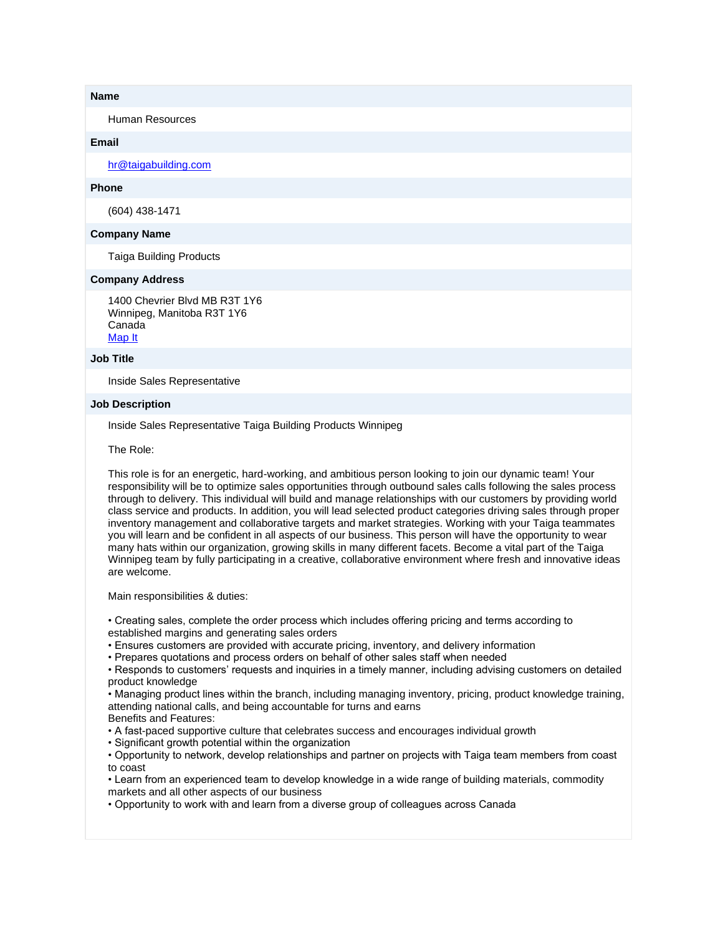### **Name**

Human Resources

## **Email**

[hr@taigabuilding.com](mailto:hr@taigabuilding.com)

# **Phone**

(604) 438-1471

## **Company Name**

Taiga Building Products

## **Company Address**

1400 Chevrier Blvd MB R3T 1Y6 Winnipeg, Manitoba R3T 1Y6 Canada [Map It](http://maps.google.com/maps?q=1400+Chevrier+Blvd+MB+R3T+1Y6+Winnipeg%2C+Manitoba+R3T+1Y6+Canada)

#### **Job Title**

Inside Sales Representative

#### **Job Description**

Inside Sales Representative Taiga Building Products Winnipeg

The Role:

This role is for an energetic, hard-working, and ambitious person looking to join our dynamic team! Your responsibility will be to optimize sales opportunities through outbound sales calls following the sales process through to delivery. This individual will build and manage relationships with our customers by providing world class service and products. In addition, you will lead selected product categories driving sales through proper inventory management and collaborative targets and market strategies. Working with your Taiga teammates you will learn and be confident in all aspects of our business. This person will have the opportunity to wear many hats within our organization, growing skills in many different facets. Become a vital part of the Taiga Winnipeg team by fully participating in a creative, collaborative environment where fresh and innovative ideas are welcome.

Main responsibilities & duties:

• Creating sales, complete the order process which includes offering pricing and terms according to established margins and generating sales orders

- Ensures customers are provided with accurate pricing, inventory, and delivery information
- Prepares quotations and process orders on behalf of other sales staff when needed

• Responds to customers' requests and inquiries in a timely manner, including advising customers on detailed product knowledge

• Managing product lines within the branch, including managing inventory, pricing, product knowledge training, attending national calls, and being accountable for turns and earns

Benefits and Features:

- A fast-paced supportive culture that celebrates success and encourages individual growth
- Significant growth potential within the organization

• Opportunity to network, develop relationships and partner on projects with Taiga team members from coast to coast

• Learn from an experienced team to develop knowledge in a wide range of building materials, commodity markets and all other aspects of our business

• Opportunity to work with and learn from a diverse group of colleagues across Canada